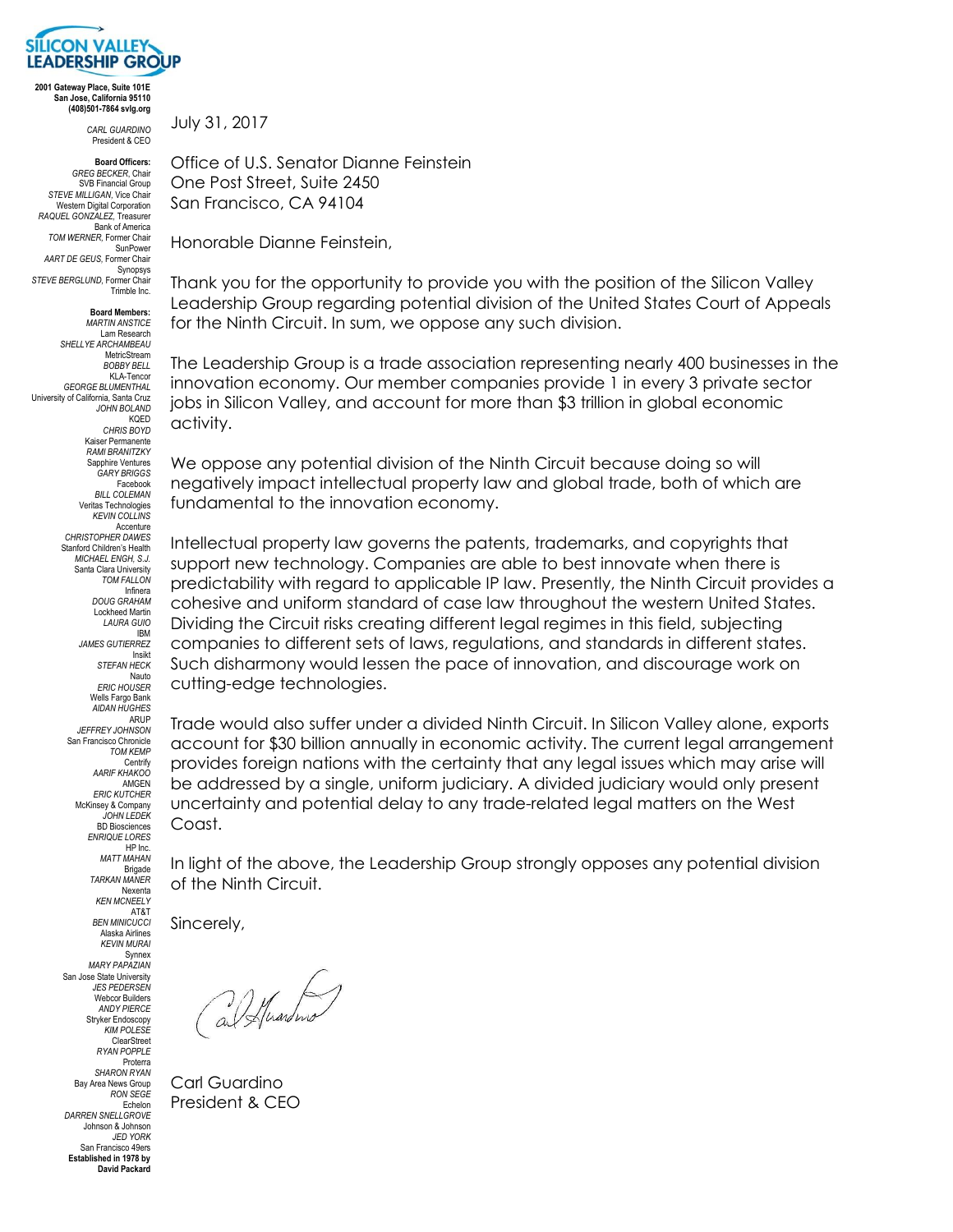

**2001 Gateway Place, Suite 101E San Jose, California 95110 (408)501-7864 svlg.org**

> *CARL GUARDINO* President & CEO

**Board Officers:** *GREG BECKER*, Chair

SVB Financial Group *STEVE MILLIGAN,* Vice Chair Western Digital Corporation *RAQUEL GONZALEZ,* Treasurer Bank of America *TOM WERNER,* Former Chair SunPower *AART DE GEUS,* Former Chair Synopsys *STEVE BERGLUND,* Former Chair Trimble Inc.

**Board Members:** *MARTIN ANSTICE* Lam Research *SHELLYE ARCHAMBEAU* MetricStream *BOBBY BELL* KLA-Tencor *GEORGE BLUMENTHAL* University of California, Santa Cruz *JOHN BOLAND* **KOED** *CHRIS BOYD* Kaiser Permanente *RAMI BRANITZKY* Sannhire Ventures *GARY BRIGGS* Facebook *BILL COLEMAN* Veritas Technologies *KEVIN COLLINS* Accenture *CHRISTOPHER DAWES*  Stanford Children's Health *MICHAEL ENGH, S.J.* Santa Clara University *TOM FALLON* Infinera *DOUG GRAHAM* Lockheed Martin *LAURA GUIO* IBM *JAMES GUTIERREZ* Insikt *STEFAN HECK* Nauto *ERIC HOUSER* Wells Fargo Bank *AIDAN HUGHES* ARUP *JEFFREY JOHNSON* San Francisco Chronicle *TOM KEMP* Centrify *AARIF KHAKOO* **AMGEN** *ERIC KUTCHER* McKinsey & Company *JOHN LEDEK* BD Biosciences *ENRIQUE LORES* HP Inc. *MATT MAHAN* Brigade *TARKAN MANER* Nexenta

> *KEN MCNEELY* AT&T *BEN MINICUCCI* Alaska Airlines *KEVIN MURAI* Synnex *MARY PAPAZIAN* San Jose State University *JES PEDERSEN* Webcor Builders *ANDY PIERCE* Stryker Endoscopy *KIM POLESE* ClearStreet *RYAN POPPLE* Proterra *SHARON RYAN* Bay Area News Group *RON SEGE* Echelon *DARREN SNELLGROVE* Johnson & Johnson *JED YORK* San Francisco 49ers **Established in 1978 by David Packard**

July 31, 2017

Office of U.S. Senator Dianne Feinstein One Post Street, Suite 2450 San Francisco, CA 94104

Honorable Dianne Feinstein,

Thank you for the opportunity to provide you with the position of the Silicon Valley Leadership Group regarding potential division of the United States Court of Appeals for the Ninth Circuit. In sum, we oppose any such division.

The Leadership Group is a trade association representing nearly 400 businesses in the innovation economy. Our member companies provide 1 in every 3 private sector jobs in Silicon Valley, and account for more than \$3 trillion in global economic activity.

We oppose any potential division of the Ninth Circuit because doing so will negatively impact intellectual property law and global trade, both of which are fundamental to the innovation economy.

Intellectual property law governs the patents, trademarks, and copyrights that support new technology. Companies are able to best innovate when there is predictability with regard to applicable IP law. Presently, the Ninth Circuit provides a cohesive and uniform standard of case law throughout the western United States. Dividing the Circuit risks creating different legal regimes in this field, subjecting companies to different sets of laws, regulations, and standards in different states. Such disharmony would lessen the pace of innovation, and discourage work on cutting-edge technologies.

Trade would also suffer under a divided Ninth Circuit. In Silicon Valley alone, exports account for \$30 billion annually in economic activity. The current legal arrangement provides foreign nations with the certainty that any legal issues which may arise will be addressed by a single, uniform judiciary. A divided judiciary would only present uncertainty and potential delay to any trade-related legal matters on the West Coast.

In light of the above, the Leadership Group strongly opposes any potential division of the Ninth Circuit.

Sincerely,

(al Huardino)

Carl Guardino President & CEO